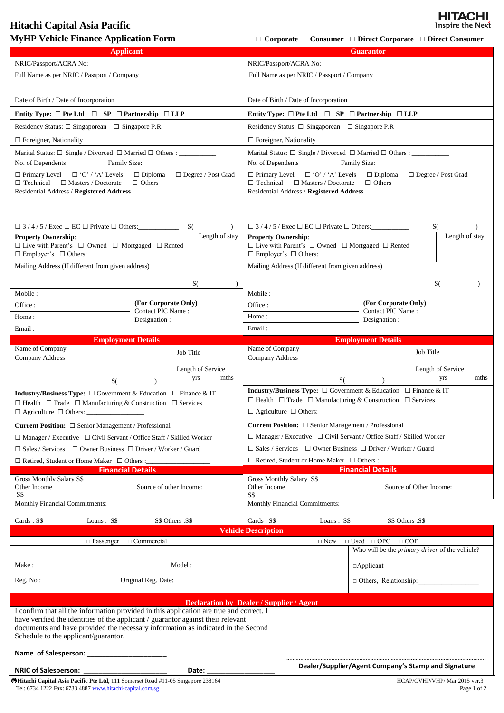## **Hitachi Capital Asia Pacific**

**MyHP Vehicle Finance Application Form □ Corporate □ Consumer □ Direct Corporate □ Direct Consumer** 

**HITACHI**<br>Inspire the Next

| <b>Applicant</b>                                                                                                                                       |                           |                   |                                                                                                           | <b>Guarantor</b>                                                                                                                                                   |                                                        |                                                       |  |
|--------------------------------------------------------------------------------------------------------------------------------------------------------|---------------------------|-------------------|-----------------------------------------------------------------------------------------------------------|--------------------------------------------------------------------------------------------------------------------------------------------------------------------|--------------------------------------------------------|-------------------------------------------------------|--|
| NRIC/Passport/ACRA No:                                                                                                                                 |                           |                   |                                                                                                           | NRIC/Passport/ACRA No:                                                                                                                                             |                                                        |                                                       |  |
| Full Name as per NRIC / Passport / Company                                                                                                             |                           |                   | Full Name as per NRIC / Passport / Company                                                                |                                                                                                                                                                    |                                                        |                                                       |  |
|                                                                                                                                                        |                           |                   |                                                                                                           |                                                                                                                                                                    |                                                        |                                                       |  |
| Date of Birth / Date of Incorporation                                                                                                                  |                           |                   | Date of Birth / Date of Incorporation                                                                     |                                                                                                                                                                    |                                                        |                                                       |  |
| Entity Type: $\Box$ Pte Ltd $\Box$ SP $\Box$ Partnership $\Box$ LLP                                                                                    |                           |                   | Entity Type: $\Box$ Pte Ltd $\Box$ SP $\Box$ Partnership $\Box$ LLP                                       |                                                                                                                                                                    |                                                        |                                                       |  |
| Residency Status: $\square$ Singaporean $\square$ Singapore P.R                                                                                        |                           |                   |                                                                                                           | Residency Status: $\Box$ Singaporean $\Box$ Singapore P.R                                                                                                          |                                                        |                                                       |  |
|                                                                                                                                                        |                           |                   |                                                                                                           |                                                                                                                                                                    |                                                        |                                                       |  |
|                                                                                                                                                        |                           |                   |                                                                                                           |                                                                                                                                                                    |                                                        |                                                       |  |
| No. of Dependents<br>Family Size:                                                                                                                      |                           |                   |                                                                                                           | No. of Dependents<br>Family Size:                                                                                                                                  |                                                        |                                                       |  |
| $\Box$ Primary Level $\Box$ 'O' / 'A' Levels<br>$\Box$ Diploma<br>$\Box$ Degree / Post Grad                                                            |                           |                   |                                                                                                           | $\Box$ Primary Level $\Box$ 'O' / 'A' Levels<br>$\Box$ Diploma<br>$\Box$ Degree / Post Grad                                                                        |                                                        |                                                       |  |
| $\Box$ Technical $\Box$ Masters / Doctorate<br>$\Box$ Others<br>Residential Address / Registered Address                                               |                           |                   |                                                                                                           | $\Box$ Others<br>$\Box$ Technical $\Box$ Masters / Doctorate<br>Residential Address / Registered Address                                                           |                                                        |                                                       |  |
|                                                                                                                                                        |                           |                   |                                                                                                           |                                                                                                                                                                    |                                                        |                                                       |  |
|                                                                                                                                                        |                           |                   |                                                                                                           |                                                                                                                                                                    |                                                        |                                                       |  |
| $\lambda$                                                                                                                                              |                           |                   | $\Box$ 3/4/5/Exec $\Box$ EC $\Box$ Private $\Box$ Others:<br>S(                                           |                                                                                                                                                                    |                                                        |                                                       |  |
| <b>Property Ownership:</b>                                                                                                                             |                           | Length of stay    | Length of stay<br><b>Property Ownership:</b>                                                              |                                                                                                                                                                    |                                                        |                                                       |  |
| $\hfill\Box$<br>Live with Parent's $\hfill\Box$<br>Owned $\hfill\Box$<br>Mortgaged $\hfill\Box$<br>Rented<br>$\Box$ Employer's $\Box$ Others: ________ |                           |                   | $\Box$ Live with Parent's $\Box$ Owned $\Box$ Mortgaged $\Box$ Rented<br>$\Box$ Employer's $\Box$ Others: |                                                                                                                                                                    |                                                        |                                                       |  |
| Mailing Address (If different from given address)                                                                                                      |                           |                   | Mailing Address (If different from given address)                                                         |                                                                                                                                                                    |                                                        |                                                       |  |
|                                                                                                                                                        |                           |                   |                                                                                                           |                                                                                                                                                                    |                                                        |                                                       |  |
| Mobile:                                                                                                                                                |                           | S(<br>$\lambda$   | Mobile:                                                                                                   |                                                                                                                                                                    |                                                        | S(                                                    |  |
| Office :                                                                                                                                               | (For Corporate Only)      |                   | Office:                                                                                                   |                                                                                                                                                                    | (For Corporate Only)                                   |                                                       |  |
| Home:                                                                                                                                                  | Contact PIC Name:         |                   | Home:                                                                                                     |                                                                                                                                                                    | Contact PIC Name:                                      |                                                       |  |
| Email:                                                                                                                                                 | Designation :             |                   | Email:                                                                                                    |                                                                                                                                                                    | Designation :                                          |                                                       |  |
|                                                                                                                                                        | <b>Employment Details</b> |                   |                                                                                                           | <b>Employment Details</b>                                                                                                                                          |                                                        |                                                       |  |
| Name of Company                                                                                                                                        |                           | Job Title         | Name of Company                                                                                           |                                                                                                                                                                    |                                                        | Job Title                                             |  |
| Company Address                                                                                                                                        |                           |                   | Company Address                                                                                           |                                                                                                                                                                    |                                                        |                                                       |  |
|                                                                                                                                                        |                           | Length of Service |                                                                                                           |                                                                                                                                                                    |                                                        | Length of Service                                     |  |
| S(                                                                                                                                                     |                           | mths<br>yrs       | mths<br>yrs<br>S(                                                                                         |                                                                                                                                                                    |                                                        |                                                       |  |
| <b>Industry/Business Type:</b> $\Box$ Government & Education $\Box$ Finance & IT                                                                       |                           |                   |                                                                                                           | <b>Industry/Business Type:</b> $\Box$ Government & Education $\Box$ Finance & IT<br>$\Box$ Health $\Box$ Trade $\Box$ Manufacturing & Construction $\Box$ Services |                                                        |                                                       |  |
| $\Box$ Health $\Box$ Trade $\Box$ Manufacturing & Construction $\Box$ Services                                                                         |                           |                   |                                                                                                           |                                                                                                                                                                    |                                                        |                                                       |  |
| <b>Current Position:</b> $\Box$ Senior Management / Professional                                                                                       |                           |                   |                                                                                                           | <b>Current Position:</b> $\Box$ Senior Management / Professional                                                                                                   |                                                        |                                                       |  |
| $\Box$ Manager / Executive $\Box$ Civil Servant / Office Staff / Skilled Worker                                                                        |                           |                   | $\Box$ Manager / Executive $\Box$ Civil Servant / Office Staff / Skilled Worker                           |                                                                                                                                                                    |                                                        |                                                       |  |
| $\Box$ Sales / Services $\Box$ Owner Business $\Box$ Driver / Worker / Guard                                                                           |                           |                   | $\Box$ Sales / Services $\Box$ Owner Business $\Box$ Driver / Worker / Guard                              |                                                                                                                                                                    |                                                        |                                                       |  |
| □ Retired, Student or Home Maker □ Others :___                                                                                                         |                           |                   |                                                                                                           |                                                                                                                                                                    |                                                        |                                                       |  |
| <b>Financial Details</b>                                                                                                                               |                           |                   |                                                                                                           | <b>Financial Details</b>                                                                                                                                           |                                                        |                                                       |  |
| <b>Gross Monthly Salary S\$</b><br>Source of other Income:<br>Other Income                                                                             |                           |                   |                                                                                                           | Gross Monthly Salary S\$<br>Source of Other Income:<br>Other Income                                                                                                |                                                        |                                                       |  |
| S\$                                                                                                                                                    |                           |                   |                                                                                                           | S\$                                                                                                                                                                |                                                        |                                                       |  |
| Monthly Financial Commitments:                                                                                                                         |                           |                   |                                                                                                           | Monthly Financial Commitments:                                                                                                                                     |                                                        |                                                       |  |
| $Cards: S\$<br>Loans: $S\$                                                                                                                             |                           | S\$ Others :S\$   | $Cards: S\$                                                                                               | Loans : $S\$<br>S\$ Others :S\$                                                                                                                                    |                                                        |                                                       |  |
|                                                                                                                                                        |                           |                   | <b>Vehicle Description</b>                                                                                |                                                                                                                                                                    |                                                        |                                                       |  |
| $\Box$ Passenger $\Box$ Commercial                                                                                                                     |                           |                   |                                                                                                           | $\Box$ New                                                                                                                                                         | $\hfill \Box$ Used $\hfill \Box$ OPC $\hfill \Box$ COE | Who will be the <i>primary driver</i> of the vehicle? |  |
|                                                                                                                                                        |                           |                   |                                                                                                           |                                                                                                                                                                    | $\Box$ Applicant                                       |                                                       |  |
|                                                                                                                                                        |                           |                   |                                                                                                           |                                                                                                                                                                    |                                                        |                                                       |  |
|                                                                                                                                                        |                           |                   |                                                                                                           |                                                                                                                                                                    |                                                        | $\Box$ Others, Relationship:                          |  |
|                                                                                                                                                        |                           |                   |                                                                                                           |                                                                                                                                                                    |                                                        |                                                       |  |
| <b>Declaration by Dealer / Supplier / Agent</b><br>I confirm that all the information provided in this application are true and correct. I             |                           |                   |                                                                                                           |                                                                                                                                                                    |                                                        |                                                       |  |
| have verified the identities of the applicant / guarantor against their relevant                                                                       |                           |                   |                                                                                                           |                                                                                                                                                                    |                                                        |                                                       |  |
| documents and have provided the necessary information as indicated in the Second<br>Schedule to the applicant/guarantor.                               |                           |                   |                                                                                                           |                                                                                                                                                                    |                                                        |                                                       |  |
|                                                                                                                                                        |                           |                   |                                                                                                           |                                                                                                                                                                    |                                                        |                                                       |  |
|                                                                                                                                                        |                           |                   |                                                                                                           |                                                                                                                                                                    |                                                        |                                                       |  |
| <b>NRIC of Salesperson:</b><br>Date:                                                                                                                   |                           |                   |                                                                                                           | Dealer/Supplier/Agent Company's Stamp and Signature                                                                                                                |                                                        |                                                       |  |
| <b>Whitachi Capital Asia Pacific Pte Ltd, 111 Somerset Road #11-05 Singapore 238164</b>                                                                |                           |                   |                                                                                                           |                                                                                                                                                                    |                                                        | HCAP/CVHP/VHP/ Mar 2015 ver.3                         |  |

Tel: 6734 1222 Fax: 6733 488[7 www.hitachi-capital.com.sg](http://www.hitachi-capital.com.sg/) Page 1 of 2